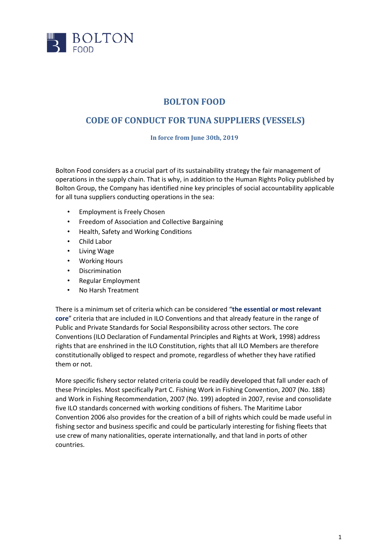

## **BOLTON FOOD**

## **CODE OF CONDUCT FOR TUNA SUPPLIERS (VESSELS)**

**In force from June 30th, 2019**

Bolton Food considers as a crucial part of its sustainability strategy the fair management of operations in the supply chain. That is why, in addition to the Human Rights Policy published by Bolton Group, the Company has identified nine key principles of social accountability applicable for all tuna suppliers conducting operations in the sea:

- Employment is Freely Chosen
- Freedom of Association and Collective Bargaining
- Health, Safety and Working Conditions
- Child Labor
- Living Wage
- Working Hours
- Discrimination
- Regular Employment
- No Harsh Treatment

There is a minimum set of criteria which can be considered "**the essential or most relevant core**" criteria that are included in ILO Conventions and that already feature in the range of Public and Private Standards for Social Responsibility across other sectors. The core Conventions (ILO Declaration of Fundamental Principles and Rights at Work, 1998) address rights that are enshrined in the ILO Constitution, rights that all ILO Members are therefore constitutionally obliged to respect and promote, regardless of whether they have ratified them or not.

More specific fishery sector related criteria could be readily developed that fall under each of these Principles. Most specifically Part C. Fishing Work in Fishing Convention, 2007 (No. 188) and Work in Fishing Recommendation, 2007 (No. 199) adopted in 2007, revise and consolidate five ILO standards concerned with working conditions of fishers. The Maritime Labor Convention 2006 also provides for the creation of a bill of rights which could be made useful in fishing sector and business specific and could be particularly interesting for fishing fleets that use crew of many nationalities, operate internationally, and that land in ports of other countries.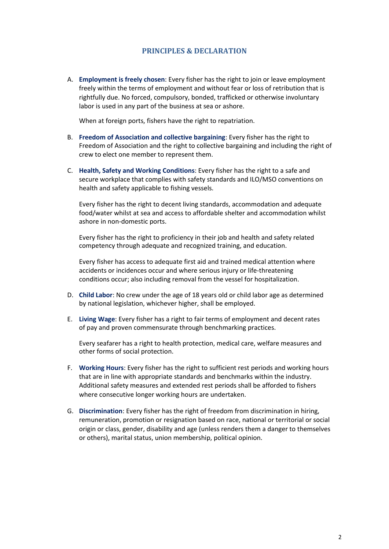## **PRINCIPLES & DECLARATION**

A. **Employment is freely chosen**: Every fisher has the right to join or leave employment freely within the terms of employment and without fear or loss of retribution that is rightfully due. No forced, compulsory, bonded, trafficked or otherwise involuntary labor is used in any part of the business at sea or ashore.

When at foreign ports, fishers have the right to repatriation.

- B. **Freedom of Association and collective bargaining**: Every fisher has the right to Freedom of Association and the right to collective bargaining and including the right of crew to elect one member to represent them.
- C. **Health, Safety and Working Conditions**: Every fisher has the right to a safe and secure workplace that complies with safety standards and ILO/MSO conventions on health and safety applicable to fishing vessels.

Every fisher has the right to decent living standards, accommodation and adequate food/water whilst at sea and access to affordable shelter and accommodation whilst ashore in non-domestic ports.

Every fisher has the right to proficiency in their job and health and safety related competency through adequate and recognized training, and education.

Every fisher has access to adequate first aid and trained medical attention where accidents or incidences occur and where serious injury or life-threatening conditions occur; also including removal from the vessel for hospitalization.

- D. **Child Labor**: No crew under the age of 18 years old or child labor age as determined by national legislation, whichever higher, shall be employed.
- E. **Living Wage**: Every fisher has a right to fair terms of employment and decent rates of pay and proven commensurate through benchmarking practices.

Every seafarer has a right to health protection, medical care, welfare measures and other forms of social protection.

- F. **Working Hours**: Every fisher has the right to sufficient rest periods and working hours that are in line with appropriate standards and benchmarks within the industry. Additional safety measures and extended rest periods shall be afforded to fishers where consecutive longer working hours are undertaken.
- G. **Discrimination**: Every fisher has the right of freedom from discrimination in hiring, remuneration, promotion or resignation based on race, national or territorial or social origin or class, gender, disability and age (unless renders them a danger to themselves or others), marital status, union membership, political opinion.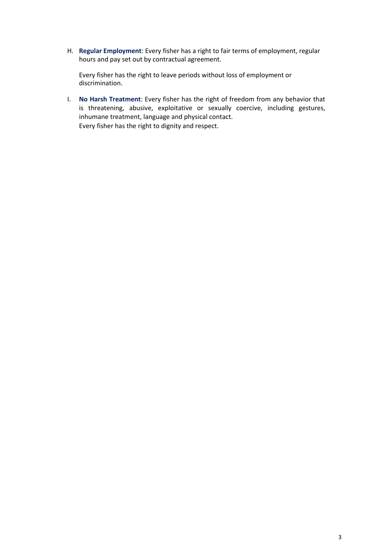H. **Regular Employment**: Every fisher has a right to fair terms of employment, regular hours and pay set out by contractual agreement.

Every fisher has the right to leave periods without loss of employment or discrimination.

I. **No Harsh Treatment**: Every fisher has the right of freedom from any behavior that is threatening, abusive, exploitative or sexually coercive, including gestures, inhumane treatment, language and physical contact. Every fisher has the right to dignity and respect.